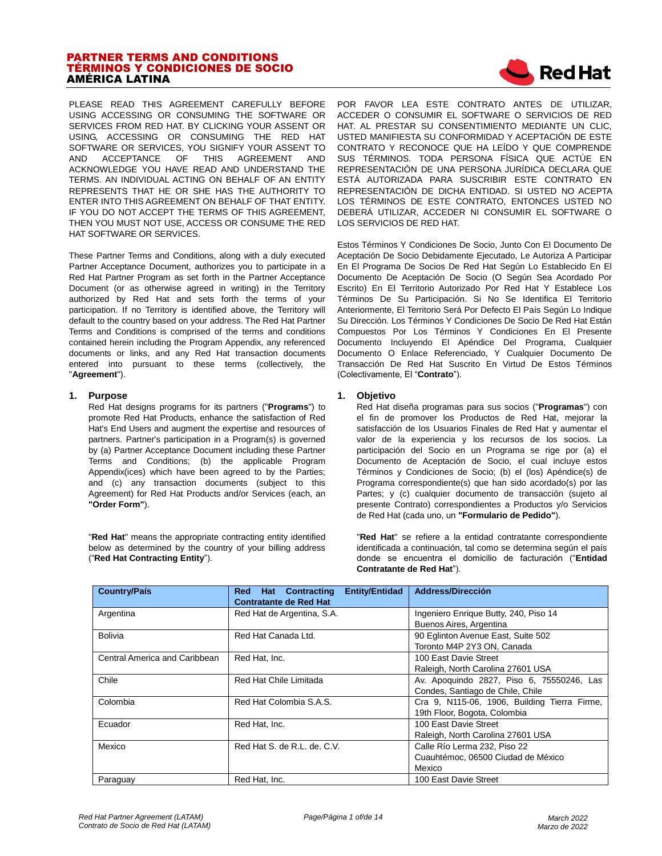# PARTNER TERMS AND CONDITIONS TÉRMINOS Y CONDICIONES DE SOCIO AMÉRICA LATINA



PLEASE READ THIS AGREEMENT CAREFULLY BEFORE USING ACCESSING OR CONSUMING THE SOFTWARE OR SERVICES FROM RED HAT. BY CLICKING YOUR ASSENT OR USING, ACCESSING OR CONSUMING THE RED HAT SOFTWARE OR SERVICES, YOU SIGNIFY YOUR ASSENT TO AND ACCEPTANCE OF THIS AGREEMENT AND ACKNOWLEDGE YOU HAVE READ AND UNDERSTAND THE TERMS. AN INDIVIDUAL ACTING ON BEHALF OF AN ENTITY REPRESENTS THAT HE OR SHE HAS THE AUTHORITY TO ENTER INTO THIS AGREEMENT ON BEHALF OF THAT ENTITY. IF YOU DO NOT ACCEPT THE TERMS OF THIS AGREEMENT. THEN YOU MUST NOT USE, ACCESS OR CONSUME THE RED HAT SOFTWARE OR SERVICES.

These Partner Terms and Conditions, along with a duly executed Partner Acceptance Document, authorizes you to participate in a Red Hat Partner Program as set forth in the Partner Acceptance Document (or as otherwise agreed in writing) in the Territory authorized by Red Hat and sets forth the terms of your participation. If no Territory is identified above, the Territory will default to the country based on your address. The Red Hat Partner Terms and Conditions is comprised of the terms and conditions contained herein including the Program Appendix, any referenced documents or links, and any Red Hat transaction documents entered into pursuant to these terms (collectively, the "**Agreement**").

### **1. Purpose**

Red Hat designs programs for its partners ("**Programs**") to promote Red Hat Products, enhance the satisfaction of Red Hat's End Users and augment the expertise and resources of partners. Partner's participation in a Program(s) is governed by (a) Partner Acceptance Document including these Partner Terms and Conditions; (b) the applicable Program Appendix(ices) which have been agreed to by the Parties; and (c) any transaction documents (subject to this Agreement) for Red Hat Products and/or Services (each, an **"Order Form"**).

"**Red Hat**" means the appropriate contracting entity identified below as determined by the country of your billing address ("**Red Hat Contracting Entity**").

POR FAVOR LEA ESTE CONTRATO ANTES DE UTILIZAR, ACCEDER O CONSUMIR EL SOFTWARE O SERVICIOS DE RED HAT. AL PRESTAR SU CONSENTIMIENTO MEDIANTE UN CLIC, USTED MANIFIESTA SU CONFORMIDAD Y ACEPTACIÓN DE ESTE CONTRATO Y RECONOCE QUE HA LEÍDO Y QUE COMPRENDE SUS TÉRMINOS. TODA PERSONA FÍSICA QUE ACTÚE EN REPRESENTACIÓN DE UNA PERSONA JURÍDICA DECLARA QUE ESTÁ AUTORIZADA PARA SUSCRIBIR ESTE CONTRATO EN REPRESENTACIÓN DE DICHA ENTIDAD. SI USTED NO ACEPTA LOS TÉRMINOS DE ESTE CONTRATO, ENTONCES USTED NO DEBERÁ UTILIZAR, ACCEDER NI CONSUMIR EL SOFTWARE O LOS SERVICIOS DE RED HAT.

Estos Términos Y Condiciones De Socio, Junto Con El Documento De Aceptación De Socio Debidamente Ejecutado, Le Autoriza A Participar En El Programa De Socios De Red Hat Según Lo Establecido En El Documento De Aceptación De Socio (O Según Sea Acordado Por Escrito) En El Territorio Autorizado Por Red Hat Y Establece Los Términos De Su Participación. Si No Se Identifica El Territorio Anteriormente, El Territorio Será Por Defecto El País Según Lo Indique Su Dirección. Los Términos Y Condiciones De Socio De Red Hat Están Compuestos Por Los Términos Y Condiciones En El Presente Documento Incluyendo El Apéndice Del Programa, Cualquier Documento O Enlace Referenciado, Y Cualquier Documento De Transacción De Red Hat Suscrito En Virtud De Estos Términos (Colectivamente, El "**Contrato**").

### **1. Objetivo**

Red Hat diseña programas para sus socios ("**Programas**") con el fin de promover los Productos de Red Hat, mejorar la satisfacción de los Usuarios Finales de Red Hat y aumentar el valor de la experiencia y los recursos de los socios. La participación del Socio en un Programa se rige por (a) el Documento de Aceptación de Socio, el cual incluye estos Términos y Condiciones de Socio; (b) el (los) Apéndice(s) de Programa correspondiente(s) que han sido acordado(s) por las Partes; y (c) cualquier documento de transacción (sujeto al presente Contrato) correspondientes a Productos y/o Servicios de Red Hat (cada uno, un **"Formulario de Pedido"**).

"**Red Hat**" se refiere a la entidad contratante correspondiente identificada a continuación, tal como se determina según el país donde se encuentra el domicilio de facturación ("**Entidad Contratante de Red Hat**").

| <b>Country/País</b>           | <b>Entity/Entidad</b><br>Red<br><b>Contracting</b><br>Hat<br><b>Contratante de Red Hat</b> | <b>Address/Dirección</b>                                      |  |
|-------------------------------|--------------------------------------------------------------------------------------------|---------------------------------------------------------------|--|
| Argentina                     | Red Hat de Argentina, S.A.                                                                 | Ingeniero Enrique Butty, 240, Piso 14                         |  |
| <b>Bolivia</b>                | Red Hat Canada Ltd.                                                                        | Buenos Aires, Argentina<br>90 Eglinton Avenue East, Suite 502 |  |
|                               |                                                                                            | Toronto M4P 2Y3 ON, Canada                                    |  |
| Central America and Caribbean | Red Hat, Inc.                                                                              | 100 East Davie Street                                         |  |
|                               |                                                                                            | Raleigh, North Carolina 27601 USA                             |  |
| Chile                         | Red Hat Chile Limitada                                                                     | Av. Apoquindo 2827, Piso 6, 75550246, Las                     |  |
|                               |                                                                                            | Condes, Santiago de Chile, Chile                              |  |
| Colombia                      | Red Hat Colombia S.A.S.                                                                    | Cra 9, N115-06, 1906, Building Tierra Firme,                  |  |
|                               |                                                                                            | 19th Floor, Bogota, Colombia                                  |  |
| Ecuador                       | Red Hat. Inc.                                                                              | 100 East Davie Street                                         |  |
|                               |                                                                                            | Raleigh, North Carolina 27601 USA                             |  |
| Mexico                        | Red Hat S. de R.L. de. C.V.                                                                | Calle Río Lerma 232, Piso 22                                  |  |
|                               |                                                                                            | Cuauhtémoc, 06500 Ciudad de México                            |  |
|                               |                                                                                            | Mexico                                                        |  |
| Paraguay                      | Red Hat, Inc.                                                                              | 100 East Davie Street                                         |  |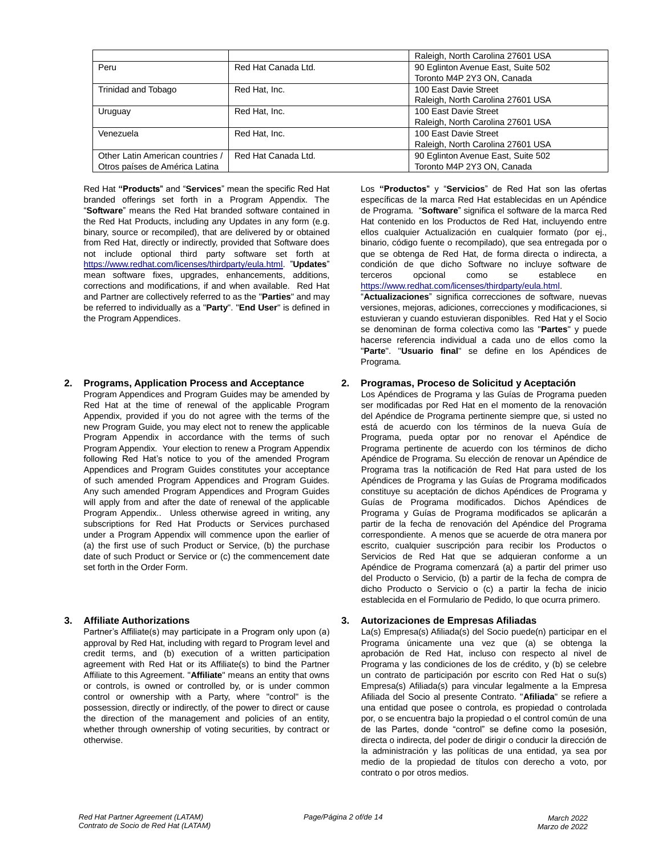|                                  |                     | Raleigh, North Carolina 27601 USA  |  |
|----------------------------------|---------------------|------------------------------------|--|
| Peru                             | Red Hat Canada Ltd. | 90 Eglinton Avenue East, Suite 502 |  |
|                                  |                     | Toronto M4P 2Y3 ON, Canada         |  |
| Trinidad and Tobago              | Red Hat, Inc.       | 100 East Davie Street              |  |
|                                  |                     | Raleigh, North Carolina 27601 USA  |  |
| Uruguay                          | Red Hat, Inc.       | 100 East Davie Street              |  |
|                                  |                     | Raleigh, North Carolina 27601 USA  |  |
| Venezuela                        | Red Hat, Inc.       | 100 East Davie Street              |  |
|                                  |                     | Raleigh, North Carolina 27601 USA  |  |
| Other Latin American countries / | Red Hat Canada Ltd. | 90 Eglinton Avenue East, Suite 502 |  |
| Otros países de América Latina   |                     | Toronto M4P 2Y3 ON, Canada         |  |

Red Hat **"Products**" and "**Services**" mean the specific Red Hat branded offerings set forth in a Program Appendix. The "**Software**" means the Red Hat branded software contained in the Red Hat Products, including any Updates in any form (e.g. binary, source or recompiled), that are delivered by or obtained from Red Hat, directly or indirectly, provided that Software does not include optional third party software set forth at [https://www.redhat.com/licenses/thirdparty/eula.html.](https://www.redhat.com/licenses/thirdparty/eula.html) "**Updates**" mean software fixes, upgrades, enhancements, additions, corrections and modifications, if and when available. Red Hat and Partner are collectively referred to as the "**Parties**" and may be referred to individually as a "**Party**". "**End User**" is defined in the Program Appendices.

# **2. Programs, Application Process and Acceptance 2. Programas, Proceso de Solicitud y Aceptación**

Program Appendices and Program Guides may be amended by Red Hat at the time of renewal of the applicable Program Appendix, provided if you do not agree with the terms of the new Program Guide, you may elect not to renew the applicable Program Appendix in accordance with the terms of such Program Appendix. Your election to renew a Program Appendix following Red Hat's notice to you of the amended Program Appendices and Program Guides constitutes your acceptance of such amended Program Appendices and Program Guides. Any such amended Program Appendices and Program Guides will apply from and after the date of renewal of the applicable Program Appendix.. Unless otherwise agreed in writing, any subscriptions for Red Hat Products or Services purchased under a Program Appendix will commence upon the earlier of (a) the first use of such Product or Service, (b) the purchase date of such Product or Service or (c) the commencement date set forth in the Order Form.

Partner's Affiliate(s) may participate in a Program only upon (a) approval by Red Hat, including with regard to Program level and credit terms, and (b) execution of a written participation agreement with Red Hat or its Affiliate(s) to bind the Partner Affiliate to this Agreement. "**Affiliate**" means an entity that owns or controls, is owned or controlled by, or is under common control or ownership with a Party, where "control" is the possession, directly or indirectly, of the power to direct or cause the direction of the management and policies of an entity, whether through ownership of voting securities, by contract or otherwise.

Los **"Productos**" y "**Servicios**" de Red Hat son las ofertas específicas de la marca Red Hat establecidas en un Apéndice de Programa. "**Software**" significa el software de la marca Red Hat contenido en los Productos de Red Hat, incluyendo entre ellos cualquier Actualización en cualquier formato (por ej., binario, código fuente o recompilado), que sea entregada por o que se obtenga de Red Hat, de forma directa o indirecta, a condición de que dicho Software no incluye software de terceros opcional como se establece en [https://www.redhat.com/licenses/thirdparty/eula.html.](https://www.redhat.com/licenses/thirdparty/eula.html)

"**Actualizaciones**" significa correcciones de software, nuevas versiones, mejoras, adiciones, correcciones y modificaciones, si estuvieran y cuando estuvieran disponibles. Red Hat y el Socio se denominan de forma colectiva como las "**Partes**" y puede hacerse referencia individual a cada uno de ellos como la "**Parte**". "**Usuario final**" se define en los Apéndices de Programa.

Los Apéndices de Programa y las Guías de Programa pueden ser modificadas por Red Hat en el momento de la renovación del Apéndice de Programa pertinente siempre que, si usted no está de acuerdo con los términos de la nueva Guía de Programa, pueda optar por no renovar el Apéndice de Programa pertinente de acuerdo con los términos de dicho Apéndice de Programa. Su elección de renovar un Apéndice de Programa tras la notificación de Red Hat para usted de los Apéndices de Programa y las Guías de Programa modificados constituye su aceptación de dichos Apéndices de Programa y Guías de Programa modificados. Dichos Apéndices de Programa y Guías de Programa modificados se aplicarán a partir de la fecha de renovación del Apéndice del Programa correspondiente. A menos que se acuerde de otra manera por escrito, cualquier suscripción para recibir los Productos o Servicios de Red Hat que se adquieran conforme a un Apéndice de Programa comenzará (a) a partir del primer uso del Producto o Servicio, (b) a partir de la fecha de compra de dicho Producto o Servicio o (c) a partir la fecha de inicio establecida en el Formulario de Pedido, lo que ocurra primero.

### **3. Affiliate Authorizations 3. Autorizaciones de Empresas Afiliadas**

La(s) Empresa(s) Afiliada(s) del Socio puede(n) participar en el Programa únicamente una vez que (a) se obtenga la aprobación de Red Hat, incluso con respecto al nivel de Programa y las condiciones de los de crédito, y (b) se celebre un contrato de participación por escrito con Red Hat o su(s) Empresa(s) Afiliada(s) para vincular legalmente a la Empresa Afiliada del Socio al presente Contrato. "**Afiliada**" se refiere a una entidad que posee o controla, es propiedad o controlada por, o se encuentra bajo la propiedad o el control común de una de las Partes, donde "control" se define como la posesión, directa o indirecta, del poder de dirigir o conducir la dirección de la administración y las políticas de una entidad, ya sea por medio de la propiedad de títulos con derecho a voto, por contrato o por otros medios.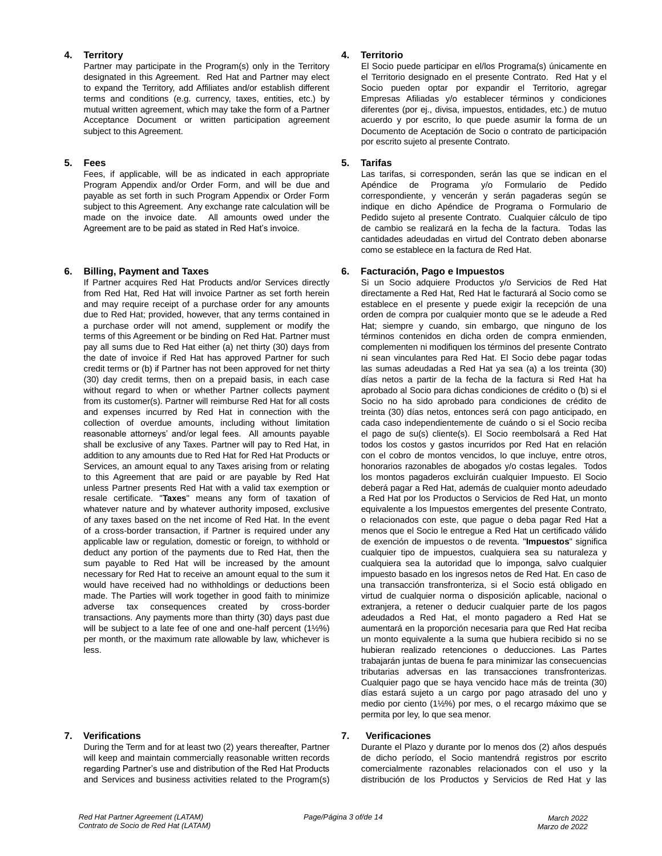Partner may participate in the Program(s) only in the Territory designated in this Agreement. Red Hat and Partner may elect to expand the Territory, add Affiliates and/or establish different terms and conditions (e.g. currency, taxes, entities, etc.) by mutual written agreement, which may take the form of a Partner Acceptance Document or written participation agreement subject to this Agreement.

Fees, if applicable, will be as indicated in each appropriate Program Appendix and/or Order Form, and will be due and payable as set forth in such Program Appendix or Order Form subject to this Agreement. Any exchange rate calculation will be made on the invoice date. All amounts owed under the Agreement are to be paid as stated in Red Hat's invoice.

If Partner acquires Red Hat Products and/or Services directly from Red Hat, Red Hat will invoice Partner as set forth herein and may require receipt of a purchase order for any amounts due to Red Hat; provided, however, that any terms contained in a purchase order will not amend, supplement or modify the terms of this Agreement or be binding on Red Hat. Partner must pay all sums due to Red Hat either (a) net thirty (30) days from the date of invoice if Red Hat has approved Partner for such credit terms or (b) if Partner has not been approved for net thirty (30) day credit terms, then on a prepaid basis, in each case without regard to when or whether Partner collects payment from its customer(s). Partner will reimburse Red Hat for all costs and expenses incurred by Red Hat in connection with the collection of overdue amounts, including without limitation reasonable attorneys' and/or legal fees. All amounts payable shall be exclusive of any Taxes. Partner will pay to Red Hat, in addition to any amounts due to Red Hat for Red Hat Products or Services, an amount equal to any Taxes arising from or relating to this Agreement that are paid or are payable by Red Hat unless Partner presents Red Hat with a valid tax exemption or resale certificate. "**Taxes**" means any form of taxation of whatever nature and by whatever authority imposed, exclusive of any taxes based on the net income of Red Hat. In the event of a cross-border transaction, if Partner is required under any applicable law or regulation, domestic or foreign, to withhold or deduct any portion of the payments due to Red Hat, then the sum payable to Red Hat will be increased by the amount necessary for Red Hat to receive an amount equal to the sum it would have received had no withholdings or deductions been made. The Parties will work together in good faith to minimize adverse tax consequences created by cross-border transactions. Any payments more than thirty (30) days past due will be subject to a late fee of one and one-half percent (1½%) per month, or the maximum rate allowable by law, whichever is less.

During the Term and for at least two (2) years thereafter, Partner will keep and maintain commercially reasonable written records regarding Partner's use and distribution of the Red Hat Products and Services and business activities related to the Program(s)

# **4. Territory 4. Territorio**

El Socio puede participar en el/los Programa(s) únicamente en el Territorio designado en el presente Contrato. Red Hat y el Socio pueden optar por expandir el Territorio, agregar Empresas Afiliadas y/o establecer términos y condiciones diferentes (por ej., divisa, impuestos, entidades, etc.) de mutuo acuerdo y por escrito, lo que puede asumir la forma de un Documento de Aceptación de Socio o contrato de participación por escrito sujeto al presente Contrato.

# **5. Fees 5. Tarifas**

Las tarifas, si corresponden, serán las que se indican en el Apéndice de Programa y/o Formulario de Pedido correspondiente, y vencerán y serán pagaderas según se indique en dicho Apéndice de Programa o Formulario de Pedido sujeto al presente Contrato. Cualquier cálculo de tipo de cambio se realizará en la fecha de la factura. Todas las cantidades adeudadas en virtud del Contrato deben abonarse como se establece en la factura de Red Hat.

# **6. Billing, Payment and Taxes 6. Facturación, Pago e Impuestos**

Si un Socio adquiere Productos y/o Servicios de Red Hat directamente a Red Hat, Red Hat le facturará al Socio como se establece en el presente y puede exigir la recepción de una orden de compra por cualquier monto que se le adeude a Red Hat; siempre y cuando, sin embargo, que ninguno de los términos contenidos en dicha orden de compra enmienden, complementen ni modifiquen los términos del presente Contrato ni sean vinculantes para Red Hat. El Socio debe pagar todas las sumas adeudadas a Red Hat ya sea (a) a los treinta (30) días netos a partir de la fecha de la factura si Red Hat ha aprobado al Socio para dichas condiciones de crédito o (b) si el Socio no ha sido aprobado para condiciones de crédito de treinta (30) días netos, entonces será con pago anticipado, en cada caso independientemente de cuándo o si el Socio reciba el pago de su(s) cliente(s). El Socio reembolsará a Red Hat todos los costos y gastos incurridos por Red Hat en relación con el cobro de montos vencidos, lo que incluye, entre otros, honorarios razonables de abogados y/o costas legales. Todos los montos pagaderos excluirán cualquier Impuesto. El Socio deberá pagar a Red Hat, además de cualquier monto adeudado a Red Hat por los Productos o Servicios de Red Hat, un monto equivalente a los Impuestos emergentes del presente Contrato, o relacionados con este, que pague o deba pagar Red Hat a menos que el Socio le entregue a Red Hat un certificado válido de exención de impuestos o de reventa. "**Impuestos**" significa cualquier tipo de impuestos, cualquiera sea su naturaleza y cualquiera sea la autoridad que lo imponga, salvo cualquier impuesto basado en los ingresos netos de Red Hat. En caso de una transacción transfronteriza, si el Socio está obligado en virtud de cualquier norma o disposición aplicable, nacional o extranjera, a retener o deducir cualquier parte de los pagos adeudados a Red Hat, el monto pagadero a Red Hat se aumentará en la proporción necesaria para que Red Hat reciba un monto equivalente a la suma que hubiera recibido si no se hubieran realizado retenciones o deducciones. Las Partes trabajarán juntas de buena fe para minimizar las consecuencias tributarias adversas en las transacciones transfronterizas. Cualquier pago que se haya vencido hace más de treinta (30) días estará sujeto a un cargo por pago atrasado del uno y medio por ciento (1½%) por mes, o el recargo máximo que se permita por ley, lo que sea menor.

### **7. Verifications 7. Verificaciones**

Durante el Plazo y durante por lo menos dos (2) años después de dicho período, el Socio mantendrá registros por escrito comercialmente razonables relacionados con el uso y la distribución de los Productos y Servicios de Red Hat y las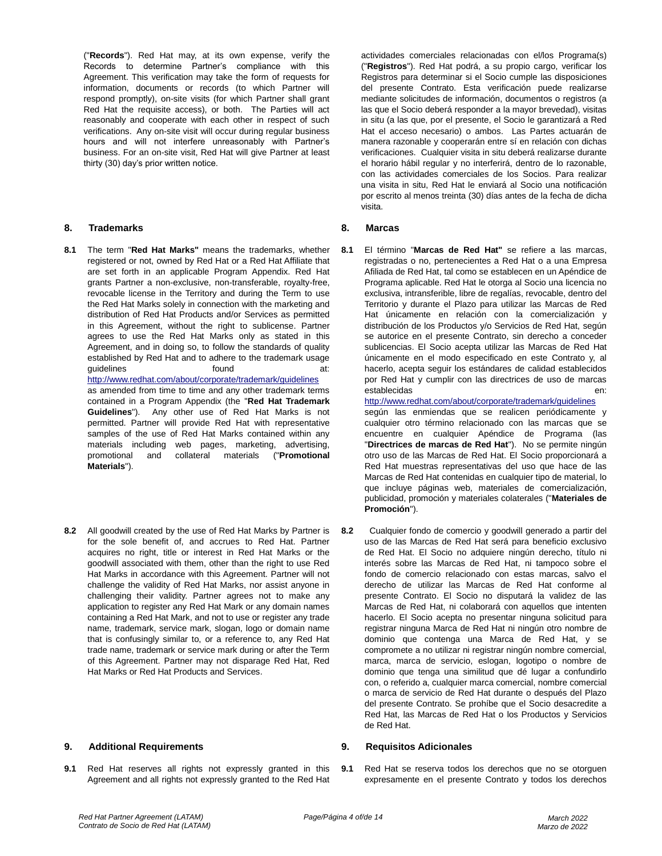("**Records**"). Red Hat may, at its own expense, verify the Records to determine Partner's compliance with this Agreement. This verification may take the form of requests for information, documents or records (to which Partner will respond promptly), on-site visits (for which Partner shall grant Red Hat the requisite access), or both. The Parties will act reasonably and cooperate with each other in respect of such verifications. Any on-site visit will occur during regular business hours and will not interfere unreasonably with Partner's business. For an on-site visit, Red Hat will give Partner at least thirty (30) day's prior written notice.

# **8. Trademarks 8. Marcas**

**Materials**").

**8.1** The term "**Red Hat Marks"** means the trademarks, whether registered or not, owned by Red Hat or a Red Hat Affiliate that are set forth in an applicable Program Appendix. Red Hat grants Partner a non-exclusive, non-transferable, royalty-free, revocable license in the Territory and during the Term to use the Red Hat Marks solely in connection with the marketing and distribution of Red Hat Products and/or Services as permitted in this Agreement, without the right to sublicense. Partner agrees to use the Red Hat Marks only as stated in this Agreement, and in doing so, to follow the standards of quality established by Red Hat and to adhere to the trademark usage quidelines **found** at: [http://www.redhat.com/about/corporate/trademark/guidelines](http://www.redhat.com/about/corporate/trademark/guidelines%20) as amended from time to time and any other trademark terms contained in a Program Appendix (the "**Red Hat Trademark Guidelines**"). Any other use of Red Hat Marks is not permitted. Partner will provide Red Hat with representative samples of the use of Red Hat Marks contained within any materials including web pages, marketing, advertising,

promotional and collateral materials ("**Promotional** 

**8.2** All goodwill created by the use of Red Hat Marks by Partner is for the sole benefit of, and accrues to Red Hat. Partner acquires no right, title or interest in Red Hat Marks or the goodwill associated with them, other than the right to use Red Hat Marks in accordance with this Agreement. Partner will not challenge the validity of Red Hat Marks, nor assist anyone in challenging their validity. Partner agrees not to make any application to register any Red Hat Mark or any domain names containing a Red Hat Mark, and not to use or register any trade name, trademark, service mark, slogan, logo or domain name that is confusingly similar to, or a reference to, any Red Hat trade name, trademark or service mark during or after the Term of this Agreement. Partner may not disparage Red Hat, Red Hat Marks or Red Hat Products and Services.

### **9. Additional Requirements 9. Requisitos Adicionales**

**9.1** Red Hat reserves all rights not expressly granted in this Agreement and all rights not expressly granted to the Red Hat

actividades comerciales relacionadas con el/los Programa(s) ("**Registros**"). Red Hat podrá, a su propio cargo, verificar los Registros para determinar si el Socio cumple las disposiciones del presente Contrato. Esta verificación puede realizarse mediante solicitudes de información, documentos o registros (a las que el Socio deberá responder a la mayor brevedad), visitas in situ (a las que, por el presente, el Socio le garantizará a Red Hat el acceso necesario) o ambos. Las Partes actuarán de manera razonable y cooperarán entre sí en relación con dichas verificaciones. Cualquier visita in situ deberá realizarse durante el horario hábil regular y no interferirá, dentro de lo razonable, con las actividades comerciales de los Socios. Para realizar una visita in situ, Red Hat le enviará al Socio una notificación por escrito al menos treinta (30) días antes de la fecha de dicha visita.

**8.1** El término "**Marcas de Red Hat"** se refiere a las marcas, registradas o no, pertenecientes a Red Hat o a una Empresa Afiliada de Red Hat, tal como se establecen en un Apéndice de Programa aplicable. Red Hat le otorga al Socio una licencia no exclusiva, intransferible, libre de regalías, revocable, dentro del Territorio y durante el Plazo para utilizar las Marcas de Red Hat únicamente en relación con la comercialización y distribución de los Productos y/o Servicios de Red Hat, según se autorice en el presente Contrato, sin derecho a conceder sublicencias. El Socio acepta utilizar las Marcas de Red Hat únicamente en el modo especificado en este Contrato y, al hacerlo, acepta seguir los estándares de calidad establecidos por Red Hat y cumplir con las directrices de uso de marcas establecidas en:

[http://www.redhat.com/about/corporate/trademark/guidelines](http://www.redhat.com/about/corporate/trademark/guidelines%20) según las enmiendas que se realicen periódicamente y cualquier otro término relacionado con las marcas que se encuentre en cualquier Apéndice de Programa (las "**Directrices de marcas de Red Hat**"). No se permite ningún otro uso de las Marcas de Red Hat. El Socio proporcionará a Red Hat muestras representativas del uso que hace de las Marcas de Red Hat contenidas en cualquier tipo de material, lo que incluye páginas web, materiales de comercialización, publicidad, promoción y materiales colaterales ("**Materiales de Promoción**").

**8.2** Cualquier fondo de comercio y goodwill generado a partir del uso de las Marcas de Red Hat será para beneficio exclusivo de Red Hat. El Socio no adquiere ningún derecho, título ni interés sobre las Marcas de Red Hat, ni tampoco sobre el fondo de comercio relacionado con estas marcas, salvo el derecho de utilizar las Marcas de Red Hat conforme al presente Contrato. El Socio no disputará la validez de las Marcas de Red Hat, ni colaborará con aquellos que intenten hacerlo. El Socio acepta no presentar ninguna solicitud para registrar ninguna Marca de Red Hat ni ningún otro nombre de dominio que contenga una Marca de Red Hat, y se compromete a no utilizar ni registrar ningún nombre comercial, marca, marca de servicio, eslogan, logotipo o nombre de dominio que tenga una similitud que dé lugar a confundirlo con, o referido a, cualquier marca comercial, nombre comercial o marca de servicio de Red Hat durante o después del Plazo del presente Contrato. Se prohíbe que el Socio desacredite a Red Hat, las Marcas de Red Hat o los Productos y Servicios de Red Hat.

**9.1** Red Hat se reserva todos los derechos que no se otorguen expresamente en el presente Contrato y todos los derechos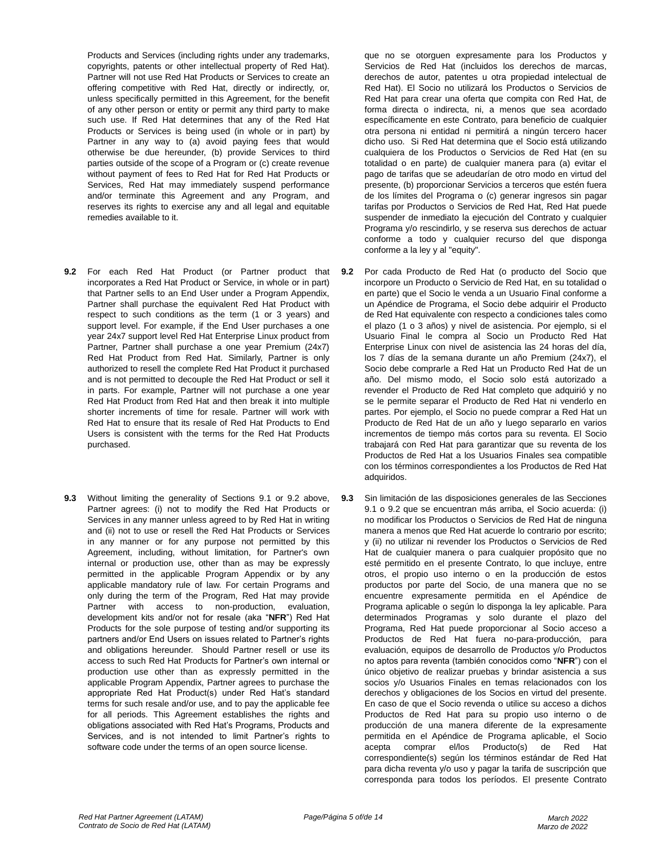Products and Services (including rights under any trademarks, copyrights, patents or other intellectual property of Red Hat). Partner will not use Red Hat Products or Services to create an offering competitive with Red Hat, directly or indirectly, or, unless specifically permitted in this Agreement, for the benefit of any other person or entity or permit any third party to make such use. If Red Hat determines that any of the Red Hat Products or Services is being used (in whole or in part) by Partner in any way to (a) avoid paying fees that would otherwise be due hereunder, (b) provide Services to third parties outside of the scope of a Program or (c) create revenue without payment of fees to Red Hat for Red Hat Products or Services, Red Hat may immediately suspend performance and/or terminate this Agreement and any Program, and reserves its rights to exercise any and all legal and equitable remedies available to it.

- **9.2** For each Red Hat Product (or Partner product that incorporates a Red Hat Product or Service, in whole or in part) that Partner sells to an End User under a Program Appendix, Partner shall purchase the equivalent Red Hat Product with respect to such conditions as the term (1 or 3 years) and support level. For example, if the End User purchases a one year 24x7 support level Red Hat Enterprise Linux product from Partner, Partner shall purchase a one year Premium (24x7) Red Hat Product from Red Hat. Similarly, Partner is only authorized to resell the complete Red Hat Product it purchased and is not permitted to decouple the Red Hat Product or sell it in parts. For example, Partner will not purchase a one year Red Hat Product from Red Hat and then break it into multiple shorter increments of time for resale. Partner will work with Red Hat to ensure that its resale of Red Hat Products to End Users is consistent with the terms for the Red Hat Products purchased.
- **9.3** Without limiting the generality of Sections 9.1 or 9.2 above, Partner agrees: (i) not to modify the Red Hat Products or Services in any manner unless agreed to by Red Hat in writing and (ii) not to use or resell the Red Hat Products or Services in any manner or for any purpose not permitted by this Agreement, including, without limitation, for Partner's own internal or production use, other than as may be expressly permitted in the applicable Program Appendix or by any applicable mandatory rule of law. For certain Programs and only during the term of the Program, Red Hat may provide Partner with access to non-production, evaluation, development kits and/or not for resale (aka "**NFR**") Red Hat Products for the sole purpose of testing and/or supporting its partners and/or End Users on issues related to Partner's rights and obligations hereunder. Should Partner resell or use its access to such Red Hat Products for Partner's own internal or production use other than as expressly permitted in the applicable Program Appendix, Partner agrees to purchase the appropriate Red Hat Product(s) under Red Hat's standard terms for such resale and/or use, and to pay the applicable fee for all periods. This Agreement establishes the rights and obligations associated with Red Hat's Programs, Products and Services, and is not intended to limit Partner's rights to software code under the terms of an open source license.

que no se otorguen expresamente para los Productos y Servicios de Red Hat (incluidos los derechos de marcas, derechos de autor, patentes u otra propiedad intelectual de Red Hat). El Socio no utilizará los Productos o Servicios de Red Hat para crear una oferta que compita con Red Hat, de forma directa o indirecta, ni, a menos que sea acordado específicamente en este Contrato, para beneficio de cualquier otra persona ni entidad ni permitirá a ningún tercero hacer dicho uso. Si Red Hat determina que el Socio está utilizando cualquiera de los Productos o Servicios de Red Hat (en su totalidad o en parte) de cualquier manera para (a) evitar el pago de tarifas que se adeudarían de otro modo en virtud del presente, (b) proporcionar Servicios a terceros que estén fuera de los límites del Programa o (c) generar ingresos sin pagar tarifas por Productos o Servicios de Red Hat, Red Hat puede suspender de inmediato la ejecución del Contrato y cualquier Programa y/o rescindirlo, y se reserva sus derechos de actuar conforme a todo y cualquier recurso del que disponga conforme a la ley y al "equity".

- **9.2** Por cada Producto de Red Hat (o producto del Socio que incorpore un Producto o Servicio de Red Hat, en su totalidad o en parte) que el Socio le venda a un Usuario Final conforme a un Apéndice de Programa, el Socio debe adquirir el Producto de Red Hat equivalente con respecto a condiciones tales como el plazo (1 o 3 años) y nivel de asistencia. Por ejemplo, si el Usuario Final le compra al Socio un Producto Red Hat Enterprise Linux con nivel de asistencia las 24 horas del día, los 7 días de la semana durante un año Premium (24x7), el Socio debe comprarle a Red Hat un Producto Red Hat de un año. Del mismo modo, el Socio solo está autorizado a revender el Producto de Red Hat completo que adquirió y no se le permite separar el Producto de Red Hat ni venderlo en partes. Por ejemplo, el Socio no puede comprar a Red Hat un Producto de Red Hat de un año y luego separarlo en varios incrementos de tiempo más cortos para su reventa. El Socio trabajará con Red Hat para garantizar que su reventa de los Productos de Red Hat a los Usuarios Finales sea compatible con los términos correspondientes a los Productos de Red Hat adquiridos.
- **9.3** Sin limitación de las disposiciones generales de las Secciones 9.1 o 9.2 que se encuentran más arriba, el Socio acuerda: (i) no modificar los Productos o Servicios de Red Hat de ninguna manera a menos que Red Hat acuerde lo contrario por escrito; y (ii) no utilizar ni revender los Productos o Servicios de Red Hat de cualquier manera o para cualquier propósito que no esté permitido en el presente Contrato, lo que incluye, entre otros, el propio uso interno o en la producción de estos productos por parte del Socio, de una manera que no se encuentre expresamente permitida en el Apéndice de Programa aplicable o según lo disponga la ley aplicable. Para determinados Programas y solo durante el plazo del Programa, Red Hat puede proporcionar al Socio acceso a Productos de Red Hat fuera no-para-producción, para evaluación, equipos de desarrollo de Productos y/o Productos no aptos para reventa (también conocidos como "**NFR**") con el único objetivo de realizar pruebas y brindar asistencia a sus socios y/o Usuarios Finales en temas relacionados con los derechos y obligaciones de los Socios en virtud del presente. En caso de que el Socio revenda o utilice su acceso a dichos Productos de Red Hat para su propio uso interno o de producción de una manera diferente de la expresamente permitida en el Apéndice de Programa aplicable, el Socio acepta comprar el/los Producto(s) de Red Hat correspondiente(s) según los términos estándar de Red Hat para dicha reventa y/o uso y pagar la tarifa de suscripción que corresponda para todos los períodos. El presente Contrato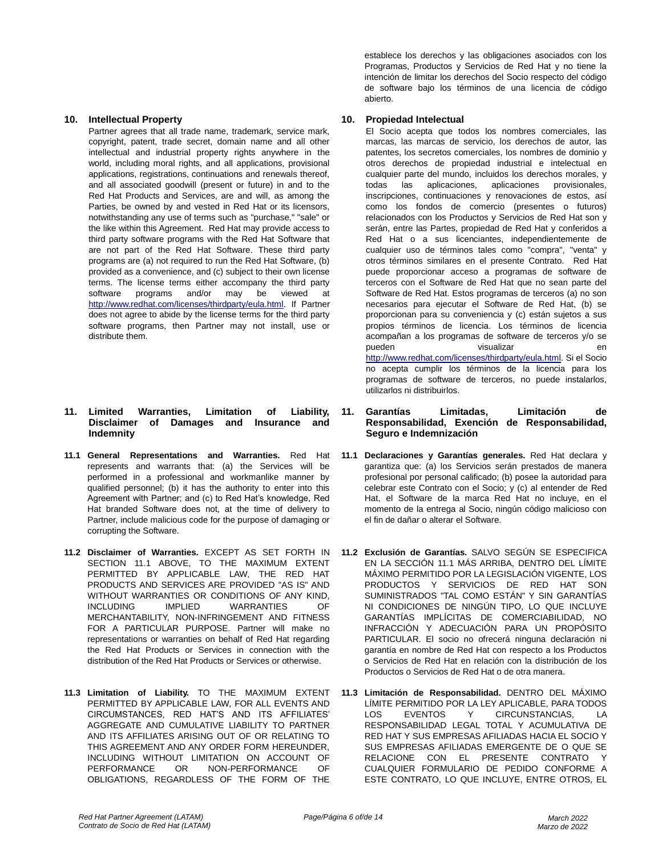Partner agrees that all trade name, trademark, service mark, copyright, patent, trade secret, domain name and all other intellectual and industrial property rights anywhere in the world, including moral rights, and all applications, provisional applications, registrations, continuations and renewals thereof, and all associated goodwill (present or future) in and to the Red Hat Products and Services, are and will, as among the Parties, be owned by and vested in Red Hat or its licensors, notwithstanding any use of terms such as "purchase," "sale" or the like within this Agreement. Red Hat may provide access to third party software programs with the Red Hat Software that are not part of the Red Hat Software. These third party programs are (a) not required to run the Red Hat Software, (b) provided as a convenience, and (c) subject to their own license terms. The license terms either accompany the third party software programs and/or may be viewed at [http://www.redhat.com/licenses/thirdparty/eula.html.](http://www.redhat.com/licenses/thirdparty/eula.html) If Partner does not agree to abide by the license terms for the third party software programs, then Partner may not install, use or distribute them.

# **11. Limited Warranties, Limitation of Liability, Disclaimer of Damages and Insurance and Indemnity**

- **11.1 General Representations and Warranties.** Red Hat represents and warrants that: (a) the Services will be performed in a professional and workmanlike manner by qualified personnel; (b) it has the authority to enter into this Agreement with Partner; and (c) to Red Hat's knowledge, Red Hat branded Software does not, at the time of delivery to Partner, include malicious code for the purpose of damaging or corrupting the Software.
- **11.2 Disclaimer of Warranties.** EXCEPT AS SET FORTH IN SECTION 11.1 ABOVE, TO THE MAXIMUM EXTENT PERMITTED BY APPLICABLE LAW, THE RED HAT PRODUCTS AND SERVICES ARE PROVIDED "AS IS" AND WITHOUT WARRANTIES OR CONDITIONS OF ANY KIND, INCLUDING IMPLIED WARRANTIES OF MERCHANTABILITY, NON-INFRINGEMENT AND FITNESS FOR A PARTICULAR PURPOSE. Partner will make no representations or warranties on behalf of Red Hat regarding the Red Hat Products or Services in connection with the distribution of the Red Hat Products or Services or otherwise.
- **11.3 Limitation of Liability.** TO THE MAXIMUM EXTENT PERMITTED BY APPLICABLE LAW, FOR ALL EVENTS AND CIRCUMSTANCES, RED HAT'S AND ITS AFFILIATES' AGGREGATE AND CUMULATIVE LIABILITY TO PARTNER AND ITS AFFILIATES ARISING OUT OF OR RELATING TO THIS AGREEMENT AND ANY ORDER FORM HEREUNDER, INCLUDING WITHOUT LIMITATION ON ACCOUNT OF PERFORMANCE OR NON-PERFORMANCE OF OBLIGATIONS, REGARDLESS OF THE FORM OF THE

establece los derechos y las obligaciones asociados con los Programas, Productos y Servicios de Red Hat y no tiene la intención de limitar los derechos del Socio respecto del código de software bajo los términos de una licencia de código abierto.

# **10. Intellectual Property 10. Propiedad Intelectual**

El Socio acepta que todos los nombres comerciales, las marcas, las marcas de servicio, los derechos de autor, las patentes, los secretos comerciales, los nombres de dominio y otros derechos de propiedad industrial e intelectual en cualquier parte del mundo, incluidos los derechos morales, y todas las aplicaciones, aplicaciones provisionales, inscripciones, continuaciones y renovaciones de estos, así como los fondos de comercio (presentes o futuros) relacionados con los Productos y Servicios de Red Hat son y serán, entre las Partes, propiedad de Red Hat y conferidos a Red Hat o a sus licenciantes, independientemente de cualquier uso de términos tales como "compra", "venta" y otros términos similares en el presente Contrato. Red Hat puede proporcionar acceso a programas de software de terceros con el Software de Red Hat que no sean parte del Software de Red Hat. Estos programas de terceros (a) no son necesarios para ejecutar el Software de Red Hat, (b) se proporcionan para su conveniencia y (c) están sujetos a sus propios términos de licencia. Los términos de licencia acompañan a los programas de software de terceros y/o se pueden visualizar en [http://www.redhat.com/licenses/thirdparty/eula.html.](http://www.redhat.com/licenses/thirdparty/eula.html) Si el Socio no acepta cumplir los términos de la licencia para los programas de software de terceros, no puede instalarlos, utilizarlos ni distribuirlos.

- **11. Garantías Limitadas, Limitación de Responsabilidad, Exención de Responsabilidad, Seguro e Indemnización**
- **11.1 Declaraciones y Garantías generales.** Red Hat declara y garantiza que: (a) los Servicios serán prestados de manera profesional por personal calificado; (b) posee la autoridad para celebrar este Contrato con el Socio; y (c) al entender de Red Hat, el Software de la marca Red Hat no incluye, en el momento de la entrega al Socio, ningún código malicioso con el fin de dañar o alterar el Software.
- **11.2 Exclusión de Garantías.** SALVO SEGÚN SE ESPECIFICA EN LA SECCIÓN 11.1 MÁS ARRIBA, DENTRO DEL LÍMITE MÁXIMO PERMITIDO POR LA LEGISLACIÓN VIGENTE, LOS PRODUCTOS Y SERVICIOS DE RED HAT SON SUMINISTRADOS "TAL COMO ESTÁN" Y SIN GARANTÍAS NI CONDICIONES DE NINGÚN TIPO, LO QUE INCLUYE GARANTÍAS IMPLÍCITAS DE COMERCIABILIDAD, NO INFRACCIÓN Y ADECUACIÓN PARA UN PROPÓSITO PARTICULAR. El socio no ofrecerá ninguna declaración ni garantía en nombre de Red Hat con respecto a los Productos o Servicios de Red Hat en relación con la distribución de los Productos o Servicios de Red Hat o de otra manera.
- **11.3 Limitación de Responsabilidad.** DENTRO DEL MÁXIMO LÍMITE PERMITIDO POR LA LEY APLICABLE, PARA TODOS LOS EVENTOS Y CIRCUNSTANCIAS, LA RESPONSABILIDAD LEGAL TOTAL Y ACUMULATIVA DE RED HAT Y SUS EMPRESAS AFILIADAS HACIA EL SOCIO Y SUS EMPRESAS AFILIADAS EMERGENTE DE O QUE SE RELACIONE CON EL PRESENTE CONTRATO Y CUALQUIER FORMULARIO DE PEDIDO CONFORME A ESTE CONTRATO, LO QUE INCLUYE, ENTRE OTROS, EL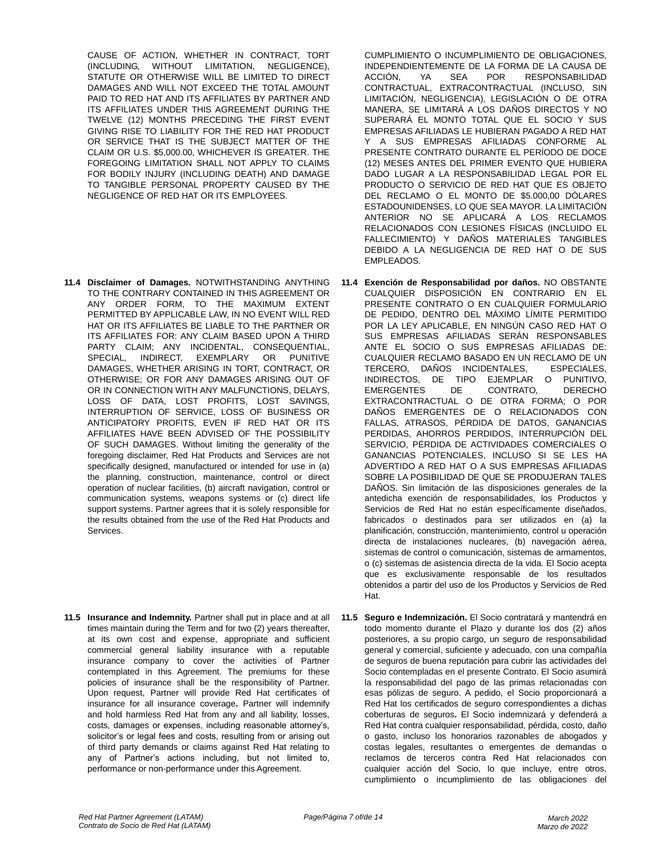CAUSE OF ACTION, WHETHER IN CONTRACT, TORT (INCLUDING, WITHOUT LIMITATION, NEGLIGENCE), STATUTE OR OTHERWISE WILL BE LIMITED TO DIRECT DAMAGES AND WILL NOT EXCEED THE TOTAL AMOUNT PAID TO RED HAT AND ITS AFFILIATES BY PARTNER AND ITS AFFILIATES UNDER THIS AGREEMENT DURING THE TWELVE (12) MONTHS PRECEDING THE FIRST EVENT GIVING RISE TO LIABILITY FOR THE RED HAT PRODUCT OR SERVICE THAT IS THE SUBJECT MATTER OF THE CLAIM OR U.S. \$5,000.00, WHICHEVER IS GREATER. THE FOREGOING LIMITATION SHALL NOT APPLY TO CLAIMS FOR BODILY INJURY (INCLUDING DEATH) AND DAMAGE TO TANGIBLE PERSONAL PROPERTY CAUSED BY THE NEGLIGENCE OF RED HAT OR ITS EMPLOYEES.

- **11.4 Disclaimer of Damages.** NOTWITHSTANDING ANYTHING TO THE CONTRARY CONTAINED IN THIS AGREEMENT OR ANY ORDER FORM, TO THE MAXIMUM EXTENT PERMITTED BY APPLICABLE LAW, IN NO EVENT WILL RED HAT OR ITS AFFILIATES BE LIABLE TO THE PARTNER OR ITS AFFILIATES FOR: ANY CLAIM BASED UPON A THIRD PARTY CLAIM; ANY INCIDENTAL, CONSEQUENTIAL, SPECIAL, INDIRECT, EXEMPLARY OR PUNITIVE DAMAGES, WHETHER ARISING IN TORT, CONTRACT, OR OTHERWISE; OR FOR ANY DAMAGES ARISING OUT OF OR IN CONNECTION WITH ANY MALFUNCTIONS, DELAYS, LOSS OF DATA, LOST PROFITS, LOST SAVINGS, INTERRUPTION OF SERVICE, LOSS OF BUSINESS OR ANTICIPATORY PROFITS, EVEN IF RED HAT OR ITS AFFILIATES HAVE BEEN ADVISED OF THE POSSIBILITY OF SUCH DAMAGES. Without limiting the generality of the foregoing disclaimer, Red Hat Products and Services are not specifically designed, manufactured or intended for use in (a) the planning, construction, maintenance, control or direct operation of nuclear facilities, (b) aircraft navigation, control or communication systems, weapons systems or (c) direct life support systems. Partner agrees that it is solely responsible for the results obtained from the use of the Red Hat Products and Services.
- **11.5 Insurance and Indemnity.** Partner shall put in place and at all times maintain during the Term and for two (2) years thereafter, at its own cost and expense, appropriate and sufficient commercial general liability insurance with a reputable insurance company to cover the activities of Partner contemplated in this Agreement. The premiums for these policies of insurance shall be the responsibility of Partner. Upon request, Partner will provide Red Hat certificates of insurance for all insurance coverage**.** Partner will indemnify and hold harmless Red Hat from any and all liability, losses, costs, damages or expenses, including reasonable attorney's, solicitor's or legal fees and costs, resulting from or arising out of third party demands or claims against Red Hat relating to any of Partner's actions including, but not limited to, performance or non-performance under this Agreement.

CUMPLIMIENTO O INCUMPLIMIENTO DE OBLIGACIONES, INDEPENDIENTEMENTE DE LA FORMA DE LA CAUSA DE ACCIÓN, YA SEA POR RESPONSABILIDAD CONTRACTUAL, EXTRACONTRACTUAL (INCLUSO, SIN LIMITACIÓN, NEGLIGENCIA), LEGISLACIÓN O DE OTRA MANERA, SE LIMITARÁ A LOS DAÑOS DIRECTOS Y NO SUPERARÁ EL MONTO TOTAL QUE EL SOCIO Y SUS EMPRESAS AFILIADAS LE HUBIERAN PAGADO A RED HAT Y A SUS EMPRESAS AFILIADAS CONFORME AL PRESENTE CONTRATO DURANTE EL PERÍODO DE DOCE (12) MESES ANTES DEL PRIMER EVENTO QUE HUBIERA DADO LUGAR A LA RESPONSABILIDAD LEGAL POR EL PRODUCTO O SERVICIO DE RED HAT QUE ES OBJETO DEL RECLAMO O EL MONTO DE \$5.000,00 DÓLARES ESTADOUNIDENSES, LO QUE SEA MAYOR. LA LIMITACIÓN ANTERIOR NO SE APLICARÁ A LOS RECLAMOS RELACIONADOS CON LESIONES FÍSICAS (INCLUIDO EL FALLECIMIENTO) Y DAÑOS MATERIALES TANGIBLES DEBIDO A LA NEGLIGENCIA DE RED HAT O DE SUS EMPLEADOS.

- **11.4 Exención de Responsabilidad por daños.** NO OBSTANTE CUALQUIER DISPOSICIÓN EN CONTRARIO EN EL PRESENTE CONTRATO O EN CUALQUIER FORMULARIO DE PEDIDO, DENTRO DEL MÁXIMO LÍMITE PERMITIDO POR LA LEY APLICABLE, EN NINGÚN CASO RED HAT O SUS EMPRESAS AFILIADAS SERÁN RESPONSABLES ANTE EL SOCIO O SUS EMPRESAS AFILIADAS DE: CUALQUIER RECLAMO BASADO EN UN RECLAMO DE UN TERCERO, DAÑOS INCIDENTALES, ESPECIALES, INDIRECTOS, DE TIPO EJEMPLAR O PUNITIVO, EMERGENTES DE CONTRATO, DERECHO EXTRACONTRACTUAL O DE OTRA FORMA; O POR DAÑOS EMERGENTES DE O RELACIONADOS CON FALLAS, ATRASOS, PÉRDIDA DE DATOS, GANANCIAS PERDIDAS, AHORROS PERDIDOS, INTERRUPCIÓN DEL SERVICIO, PÉRDIDA DE ACTIVIDADES COMERCIALES O GANANCIAS POTENCIALES, INCLUSO SI SE LES HA ADVERTIDO A RED HAT O A SUS EMPRESAS AFILIADAS SOBRE LA POSIBILIDAD DE QUE SE PRODUJERAN TALES DAÑOS. Sin limitación de las disposiciones generales de la antedicha exención de responsabilidades, los Productos y Servicios de Red Hat no están específicamente diseñados, fabricados o destinados para ser utilizados en (a) la planificación, construcción, mantenimiento, control u operación directa de instalaciones nucleares, (b) navegación aérea, sistemas de control o comunicación, sistemas de armamentos, o (c) sistemas de asistencia directa de la vida. El Socio acepta que es exclusivamente responsable de los resultados obtenidos a partir del uso de los Productos y Servicios de Red Hat.
- **11.5 Seguro e Indemnización.** El Socio contratará y mantendrá en todo momento durante el Plazo y durante los dos (2) años posteriores, a su propio cargo, un seguro de responsabilidad general y comercial, suficiente y adecuado, con una compañía de seguros de buena reputación para cubrir las actividades del Socio contempladas en el presente Contrato. El Socio asumirá la responsabilidad del pago de las primas relacionadas con esas pólizas de seguro. A pedido, el Socio proporcionará a Red Hat los certificados de seguro correspondientes a dichas coberturas de seguros**.** El Socio indemnizará y defenderá a Red Hat contra cualquier responsabilidad, pérdida, costo, daño o gasto, incluso los honorarios razonables de abogados y costas legales, resultantes o emergentes de demandas o reclamos de terceros contra Red Hat relacionados con cualquier acción del Socio, lo que incluye, entre otros, cumplimiento o incumplimiento de las obligaciones del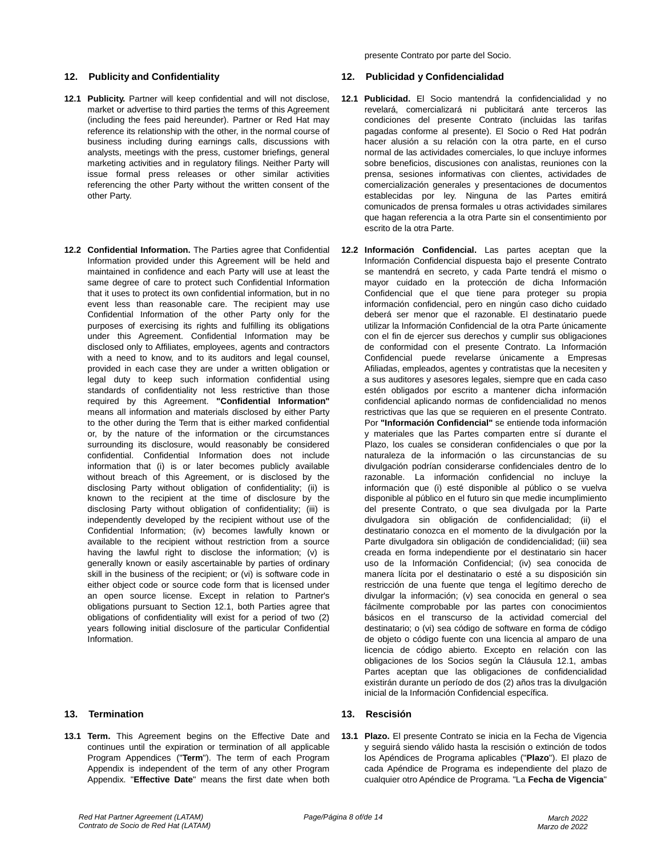## **12. Publicity and Confidentiality 12. Publicidad y Confidencialidad**

- **12.1 Publicity.** Partner will keep confidential and will not disclose, market or advertise to third parties the terms of this Agreement (including the fees paid hereunder). Partner or Red Hat may reference its relationship with the other, in the normal course of business including during earnings calls, discussions with analysts, meetings with the press, customer briefings, general marketing activities and in regulatory filings. Neither Party will issue formal press releases or other similar activities referencing the other Party without the written consent of the other Party.
- **12.2 Confidential Information.** The Parties agree that Confidential Information provided under this Agreement will be held and maintained in confidence and each Party will use at least the same degree of care to protect such Confidential Information that it uses to protect its own confidential information, but in no event less than reasonable care. The recipient may use Confidential Information of the other Party only for the purposes of exercising its rights and fulfilling its obligations under this Agreement. Confidential Information may be disclosed only to Affiliates, employees, agents and contractors with a need to know, and to its auditors and legal counsel, provided in each case they are under a written obligation or legal duty to keep such information confidential using standards of confidentiality not less restrictive than those required by this Agreement. **"Confidential Information"** means all information and materials disclosed by either Party to the other during the Term that is either marked confidential or, by the nature of the information or the circumstances surrounding its disclosure, would reasonably be considered confidential. Confidential Information does not include information that (i) is or later becomes publicly available without breach of this Agreement, or is disclosed by the disclosing Party without obligation of confidentiality; (ii) is known to the recipient at the time of disclosure by the disclosing Party without obligation of confidentiality; (iii) is independently developed by the recipient without use of the Confidential Information; (iv) becomes lawfully known or available to the recipient without restriction from a source having the lawful right to disclose the information; (v) is generally known or easily ascertainable by parties of ordinary skill in the business of the recipient; or (vi) is software code in either object code or source code form that is licensed under an open source license. Except in relation to Partner's obligations pursuant to Section 12.1, both Parties agree that obligations of confidentiality will exist for a period of two (2) years following initial disclosure of the particular Confidential Information.

# **13. Termination 13. Rescisión**

**13.1 Term.** This Agreement begins on the Effective Date and continues until the expiration or termination of all applicable Program Appendices ("**Term**"). The term of each Program Appendix is independent of the term of any other Program Appendix. "**Effective Date**" means the first date when both

presente Contrato por parte del Socio.

- **12.1 Publicidad.** El Socio mantendrá la confidencialidad y no revelará, comercializará ni publicitará ante terceros las condiciones del presente Contrato (incluidas las tarifas pagadas conforme al presente). El Socio o Red Hat podrán hacer alusión a su relación con la otra parte, en el curso normal de las actividades comerciales, lo que incluye informes sobre beneficios, discusiones con analistas, reuniones con la prensa, sesiones informativas con clientes, actividades de comercialización generales y presentaciones de documentos establecidas por ley. Ninguna de las Partes emitirá comunicados de prensa formales u otras actividades similares que hagan referencia a la otra Parte sin el consentimiento por escrito de la otra Parte.
- **12.2 Información Confidencial.** Las partes aceptan que la Información Confidencial dispuesta bajo el presente Contrato se mantendrá en secreto, y cada Parte tendrá el mismo o mayor cuidado en la protección de dicha Información Confidencial que el que tiene para proteger su propia información confidencial, pero en ningún caso dicho cuidado deberá ser menor que el razonable. El destinatario puede utilizar la Información Confidencial de la otra Parte únicamente con el fin de ejercer sus derechos y cumplir sus obligaciones de conformidad con el presente Contrato. La Información Confidencial puede revelarse únicamente a Empresas Afiliadas, empleados, agentes y contratistas que la necesiten y a sus auditores y asesores legales, siempre que en cada caso estén obligados por escrito a mantener dicha información confidencial aplicando normas de confidencialidad no menos restrictivas que las que se requieren en el presente Contrato. Por **"Información Confidencial"** se entiende toda información y materiales que las Partes comparten entre sí durante el Plazo, los cuales se consideran confidenciales o que por la naturaleza de la información o las circunstancias de su divulgación podrían considerarse confidenciales dentro de lo razonable. La información confidencial no incluye la información que (i) esté disponible al público o se vuelva disponible al público en el futuro sin que medie incumplimiento del presente Contrato, o que sea divulgada por la Parte divulgadora sin obligación de confidencialidad; (ii) el destinatario conozca en el momento de la divulgación por la Parte divulgadora sin obligación de condidencialidad; (iii) sea creada en forma independiente por el destinatario sin hacer uso de la Información Confidencial; (iv) sea conocida de manera lícita por el destinatario o esté a su disposición sin restricción de una fuente que tenga el legítimo derecho de divulgar la información; (v) sea conocida en general o sea fácilmente comprobable por las partes con conocimientos básicos en el transcurso de la actividad comercial del destinatario; o (vi) sea código de software en forma de código de objeto o código fuente con una licencia al amparo de una licencia de código abierto. Excepto en relación con las obligaciones de los Socios según la Cláusula 12.1, ambas Partes aceptan que las obligaciones de confidencialidad existirán durante un período de dos (2) años tras la divulgación inicial de la Información Confidencial específica.

**13.1 Plazo.** El presente Contrato se inicia en la Fecha de Vigencia y seguirá siendo válido hasta la rescisión o extinción de todos los Apéndices de Programa aplicables ("**Plazo**"). El plazo de cada Apéndice de Programa es independiente del plazo de cualquier otro Apéndice de Programa. "La **Fecha de Vigencia**"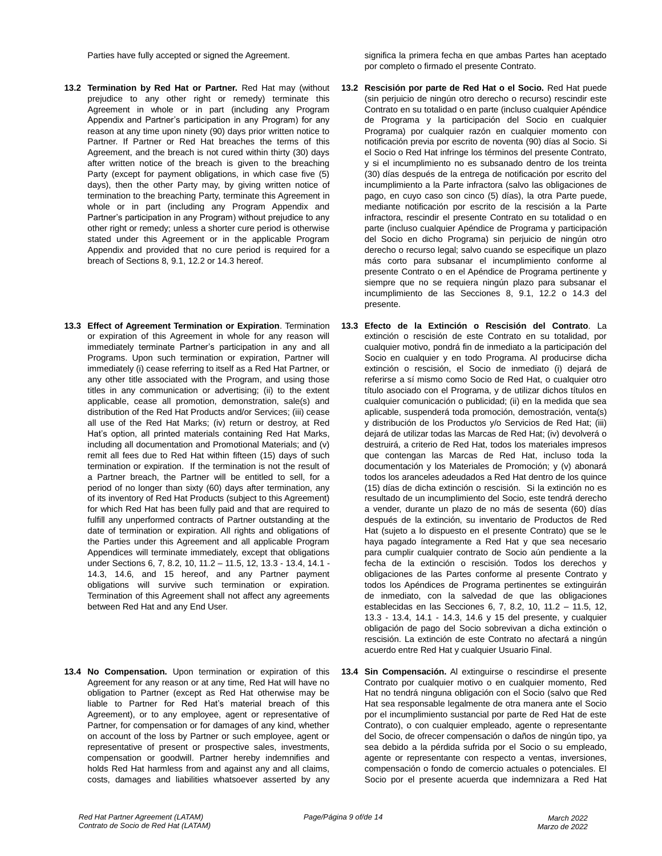- **13.2 Termination by Red Hat or Partner.** Red Hat may (without prejudice to any other right or remedy) terminate this Agreement in whole or in part (including any Program Appendix and Partner's participation in any Program) for any reason at any time upon ninety (90) days prior written notice to Partner. If Partner or Red Hat breaches the terms of this Agreement, and the breach is not cured within thirty (30) days after written notice of the breach is given to the breaching Party (except for payment obligations, in which case five (5) days), then the other Party may, by giving written notice of termination to the breaching Party, terminate this Agreement in whole or in part (including any Program Appendix and Partner's participation in any Program) without prejudice to any other right or remedy; unless a shorter cure period is otherwise stated under this Agreement or in the applicable Program Appendix and provided that no cure period is required for a breach of Sections 8, 9.1, 12.2 or 14.3 hereof.
- **13.3 Effect of Agreement Termination or Expiration**. Termination or expiration of this Agreement in whole for any reason will immediately terminate Partner's participation in any and all Programs. Upon such termination or expiration, Partner will immediately (i) cease referring to itself as a Red Hat Partner, or any other title associated with the Program, and using those titles in any communication or advertising; (ii) to the extent applicable, cease all promotion, demonstration, sale(s) and distribution of the Red Hat Products and/or Services; (iii) cease all use of the Red Hat Marks; (iv) return or destroy, at Red Hat's option, all printed materials containing Red Hat Marks, including all documentation and Promotional Materials; and (v) remit all fees due to Red Hat within fifteen (15) days of such termination or expiration. If the termination is not the result of a Partner breach, the Partner will be entitled to sell, for a period of no longer than sixty (60) days after termination, any of its inventory of Red Hat Products (subject to this Agreement) for which Red Hat has been fully paid and that are required to fulfill any unperformed contracts of Partner outstanding at the date of termination or expiration. All rights and obligations of the Parties under this Agreement and all applicable Program Appendices will terminate immediately, except that obligations under Sections 6, 7, 8.2, 10, 11.2 – 11.5, 12, 13.3 - 13.4, 14.1 - 14.3, 14.6, and 15 hereof, and any Partner payment obligations will survive such termination or expiration. Termination of this Agreement shall not affect any agreements between Red Hat and any End User.
- **13.4 No Compensation.** Upon termination or expiration of this Agreement for any reason or at any time, Red Hat will have no obligation to Partner (except as Red Hat otherwise may be liable to Partner for Red Hat's material breach of this Agreement), or to any employee, agent or representative of Partner, for compensation or for damages of any kind, whether on account of the loss by Partner or such employee, agent or representative of present or prospective sales, investments, compensation or goodwill. Partner hereby indemnifies and holds Red Hat harmless from and against any and all claims, costs, damages and liabilities whatsoever asserted by any

Parties have fully accepted or signed the Agreement. Significa la primera fecha en que ambas Partes han aceptado por completo o firmado el presente Contrato.

- **13.2 Rescisión por parte de Red Hat o el Socio.** Red Hat puede (sin perjuicio de ningún otro derecho o recurso) rescindir este Contrato en su totalidad o en parte (incluso cualquier Apéndice de Programa y la participación del Socio en cualquier Programa) por cualquier razón en cualquier momento con notificación previa por escrito de noventa (90) días al Socio. Si el Socio o Red Hat infringe los términos del presente Contrato, y si el incumplimiento no es subsanado dentro de los treinta (30) días después de la entrega de notificación por escrito del incumplimiento a la Parte infractora (salvo las obligaciones de pago, en cuyo caso son cinco (5) días), la otra Parte puede, mediante notificación por escrito de la rescisión a la Parte infractora, rescindir el presente Contrato en su totalidad o en parte (incluso cualquier Apéndice de Programa y participación del Socio en dicho Programa) sin perjuicio de ningún otro derecho o recurso legal; salvo cuando se especifique un plazo más corto para subsanar el incumplimiento conforme al presente Contrato o en el Apéndice de Programa pertinente y siempre que no se requiera ningún plazo para subsanar el incumplimiento de las Secciones 8, 9.1, 12.2 o 14.3 del presente.
- **13.3 Efecto de la Extinción o Rescisión del Contrato**. La extinción o rescisión de este Contrato en su totalidad, por cualquier motivo, pondrá fin de inmediato a la participación del Socio en cualquier y en todo Programa. Al producirse dicha extinción o rescisión, el Socio de inmediato (i) dejará de referirse a sí mismo como Socio de Red Hat, o cualquier otro título asociado con el Programa, y de utilizar dichos títulos en cualquier comunicación o publicidad; (ii) en la medida que sea aplicable, suspenderá toda promoción, demostración, venta(s) y distribución de los Productos y/o Servicios de Red Hat; (iii) dejará de utilizar todas las Marcas de Red Hat; (iv) devolverá o destruirá, a criterio de Red Hat, todos los materiales impresos que contengan las Marcas de Red Hat, incluso toda la documentación y los Materiales de Promoción; y (v) abonará todos los aranceles adeudados a Red Hat dentro de los quince (15) días de dicha extinción o rescisión. Si la extinción no es resultado de un incumplimiento del Socio, este tendrá derecho a vender, durante un plazo de no más de sesenta (60) días después de la extinción, su inventario de Productos de Red Hat (sujeto a lo dispuesto en el presente Contrato) que se le haya pagado íntegramente a Red Hat y que sea necesario para cumplir cualquier contrato de Socio aún pendiente a la fecha de la extinción o rescisión. Todos los derechos y obligaciones de las Partes conforme al presente Contrato y todos los Apéndices de Programa pertinentes se extinguirán de inmediato, con la salvedad de que las obligaciones establecidas en las Secciones 6, 7, 8.2, 10, 11.2 – 11.5, 12, 13.3 - 13.4, 14.1 - 14.3, 14.6 y 15 del presente, y cualquier obligación de pago del Socio sobrevivan a dicha extinción o rescisión. La extinción de este Contrato no afectará a ningún acuerdo entre Red Hat y cualquier Usuario Final.
- **13.4 Sin Compensación.** Al extinguirse o rescindirse el presente Contrato por cualquier motivo o en cualquier momento, Red Hat no tendrá ninguna obligación con el Socio (salvo que Red Hat sea responsable legalmente de otra manera ante el Socio por el incumplimiento sustancial por parte de Red Hat de este Contrato), o con cualquier empleado, agente o representante del Socio, de ofrecer compensación o daños de ningún tipo, ya sea debido a la pérdida sufrida por el Socio o su empleado, agente or representante con respecto a ventas, inversiones, compensación o fondo de comercio actuales o potenciales. El Socio por el presente acuerda que indemnizara a Red Hat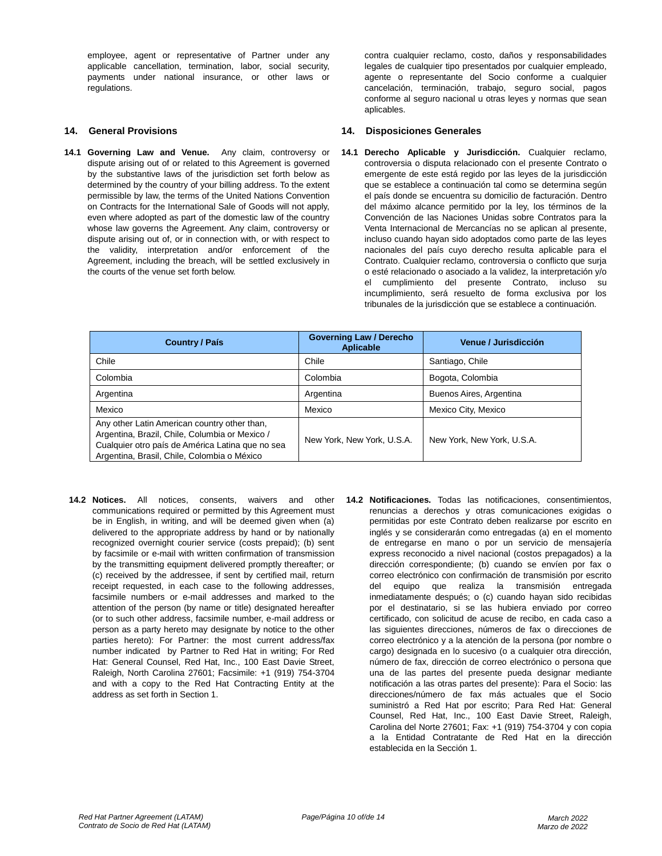employee, agent or representative of Partner under any applicable cancellation, termination, labor, social security, payments under national insurance, or other laws or regulations.

**14.1 Governing Law and Venue.** Any claim, controversy or dispute arising out of or related to this Agreement is governed by the substantive laws of the jurisdiction set forth below as determined by the country of your billing address. To the extent permissible by law, the terms of the United Nations Convention on Contracts for the International Sale of Goods will not apply, even where adopted as part of the domestic law of the country whose law governs the Agreement. Any claim, controversy or dispute arising out of, or in connection with, or with respect to the validity, interpretation and/or enforcement of the Agreement, including the breach, will be settled exclusively in the courts of the venue set forth below.

contra cualquier reclamo, costo, daños y responsabilidades legales de cualquier tipo presentados por cualquier empleado, agente o representante del Socio conforme a cualquier cancelación, terminación, trabajo, seguro social, pagos conforme al seguro nacional u otras leyes y normas que sean aplicables.

# **14. General Provisions 14. Disposiciones Generales**

**14.1 Derecho Aplicable y Jurisdicción.** Cualquier reclamo, controversia o disputa relacionado con el presente Contrato o emergente de este está regido por las leyes de la jurisdicción que se establece a continuación tal como se determina según el país donde se encuentra su domicilio de facturación. Dentro del máximo alcance permitido por la ley, los términos de la Convención de las Naciones Unidas sobre Contratos para la Venta Internacional de Mercancías no se aplican al presente, incluso cuando hayan sido adoptados como parte de las leyes nacionales del país cuyo derecho resulta aplicable para el Contrato. Cualquier reclamo, controversia o conflicto que surja o esté relacionado o asociado a la validez, la interpretación y/o el cumplimiento del presente Contrato, incluso su incumplimiento, será resuelto de forma exclusiva por los tribunales de la jurisdicción que se establece a continuación.

| <b>Country / País</b>                                                                                                                                                                             | <b>Governing Law / Derecho</b><br>Aplicable | Venue / Jurisdicción       |
|---------------------------------------------------------------------------------------------------------------------------------------------------------------------------------------------------|---------------------------------------------|----------------------------|
| Chile                                                                                                                                                                                             | Chile                                       | Santiago, Chile            |
| Colombia                                                                                                                                                                                          | Colombia                                    | Bogota, Colombia           |
| Argentina                                                                                                                                                                                         | Argentina                                   | Buenos Aires, Argentina    |
| Mexico                                                                                                                                                                                            | Mexico                                      | Mexico City, Mexico        |
| Any other Latin American country other than,<br>Argentina, Brazil, Chile, Columbia or Mexico /<br>Cualquier otro país de América Latina que no sea<br>Argentina, Brasil, Chile, Colombia o México | New York, New York, U.S.A.                  | New York, New York, U.S.A. |

- **14.2 Notices.** All notices, consents, waivers and other communications required or permitted by this Agreement must be in English, in writing, and will be deemed given when (a) delivered to the appropriate address by hand or by nationally recognized overnight courier service (costs prepaid); (b) sent by facsimile or e-mail with written confirmation of transmission by the transmitting equipment delivered promptly thereafter; or (c) received by the addressee, if sent by certified mail, return receipt requested, in each case to the following addresses, facsimile numbers or e-mail addresses and marked to the attention of the person (by name or title) designated hereafter (or to such other address, facsimile number, e-mail address or person as a party hereto may designate by notice to the other parties hereto): For Partner: the most current address/fax number indicated by Partner to Red Hat in writing; For Red Hat: General Counsel, Red Hat, Inc., 100 East Davie Street, Raleigh, North Carolina 27601; Facsimile: +1 (919) 754-3704 and with a copy to the Red Hat Contracting Entity at the address as set forth in Section 1.
- **14.2 Notificaciones.** Todas las notificaciones, consentimientos, renuncias a derechos y otras comunicaciones exigidas o permitidas por este Contrato deben realizarse por escrito en inglés y se considerarán como entregadas (a) en el momento de entregarse en mano o por un servicio de mensajería express reconocido a nivel nacional (costos prepagados) a la dirección correspondiente; (b) cuando se envíen por fax o correo electrónico con confirmación de transmisión por escrito del equipo que realiza la transmisión entregada inmediatamente después; o (c) cuando hayan sido recibidas por el destinatario, si se las hubiera enviado por correo certificado, con solicitud de acuse de recibo, en cada caso a las siguientes direcciones, números de fax o direcciones de correo electrónico y a la atención de la persona (por nombre o cargo) designada en lo sucesivo (o a cualquier otra dirección, número de fax, dirección de correo electrónico o persona que una de las partes del presente pueda designar mediante notificación a las otras partes del presente): Para el Socio: las direcciones/número de fax más actuales que el Socio suministró a Red Hat por escrito; Para Red Hat: General Counsel, Red Hat, Inc., 100 East Davie Street, Raleigh, Carolina del Norte 27601; Fax: +1 (919) 754-3704 y con copia a la Entidad Contratante de Red Hat en la dirección establecida en la Sección 1.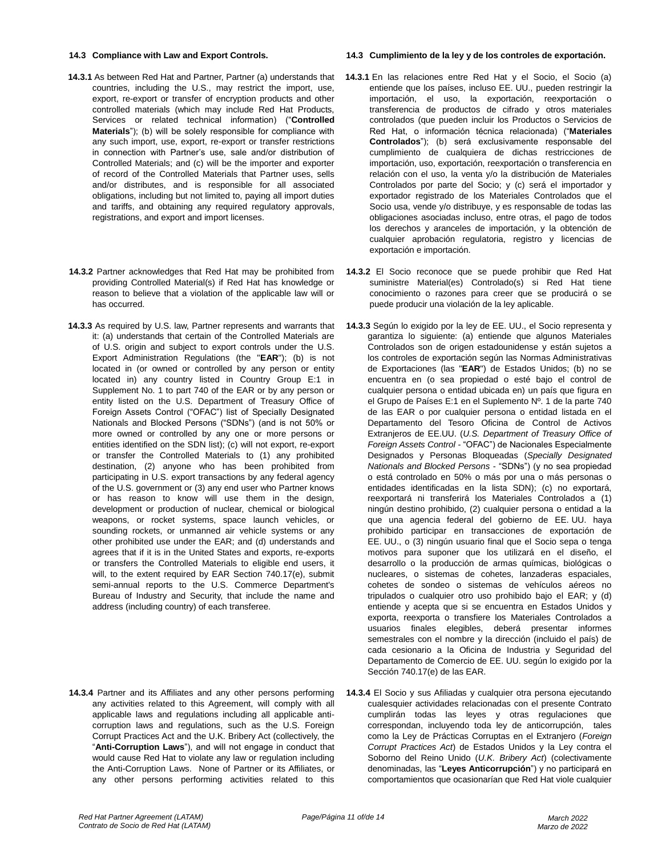- **14.3.1** As between Red Hat and Partner, Partner (a) understands that countries, including the U.S., may restrict the import, use, export, re-export or transfer of encryption products and other controlled materials (which may include Red Hat Products, Services or related technical information) ("**Controlled Materials**"); (b) will be solely responsible for compliance with any such import, use, export, re-export or transfer restrictions in connection with Partner's use, sale and/or distribution of Controlled Materials; and (c) will be the importer and exporter of record of the Controlled Materials that Partner uses, sells and/or distributes, and is responsible for all associated obligations, including but not limited to, paying all import duties and tariffs, and obtaining any required regulatory approvals, registrations, and export and import licenses.
- **14.3.2** Partner acknowledges that Red Hat may be prohibited from providing Controlled Material(s) if Red Hat has knowledge or reason to believe that a violation of the applicable law will or has occurred.
- **14.3.3** As required by U.S. law, Partner represents and warrants that it: (a) understands that certain of the Controlled Materials are of U.S. origin and subject to export controls under the U.S. Export Administration Regulations (the "**EAR**"); (b) is not located in (or owned or controlled by any person or entity located in) any country listed in Country Group E:1 in Supplement No. 1 to part 740 of the EAR or by any person or entity listed on the U.S. Department of Treasury Office of Foreign Assets Control ("OFAC") list of Specially Designated Nationals and Blocked Persons ("SDNs") (and is not 50% or more owned or controlled by any one or more persons or entities identified on the SDN list); (c) will not export, re-export or transfer the Controlled Materials to (1) any prohibited destination, (2) anyone who has been prohibited from participating in U.S. export transactions by any federal agency of the U.S. government or (3) any end user who Partner knows or has reason to know will use them in the design, development or production of nuclear, chemical or biological weapons, or rocket systems, space launch vehicles, or sounding rockets, or unmanned air vehicle systems or any other prohibited use under the EAR; and (d) understands and agrees that if it is in the United States and exports, re-exports or transfers the Controlled Materials to eligible end users, it will, to the extent required by EAR Section 740.17(e), submit semi-annual reports to the U.S. Commerce Department's Bureau of Industry and Security, that include the name and address (including country) of each transferee.
- **14.3.4** Partner and its Affiliates and any other persons performing any activities related to this Agreement, will comply with all applicable laws and regulations including all applicable anticorruption laws and regulations, such as the U.S. Foreign Corrupt Practices Act and the U.K. Bribery Act (collectively, the "**Anti-Corruption Laws**"), and will not engage in conduct that would cause Red Hat to violate any law or regulation including the Anti-Corruption Laws. None of Partner or its Affiliates, or any other persons performing activities related to this

### **14.3 Compliance with Law and Export Controls. 14.3 Cumplimiento de la ley y de los controles de exportación.**

- **14.3.1** En las relaciones entre Red Hat y el Socio, el Socio (a) entiende que los países, incluso EE. UU., pueden restringir la importación, el uso, la exportación, reexportación o transferencia de productos de cifrado y otros materiales controlados (que pueden incluir los Productos o Servicios de Red Hat, o información técnica relacionada) ("**Materiales Controlados**"); (b) será exclusivamente responsable del cumplimiento de cualquiera de dichas restricciones de importación, uso, exportación, reexportación o transferencia en relación con el uso, la venta y/o la distribución de Materiales Controlados por parte del Socio; y (c) será el importador y exportador registrado de los Materiales Controlados que el Socio usa, vende y/o distribuye, y es responsable de todas las obligaciones asociadas incluso, entre otras, el pago de todos los derechos y aranceles de importación, y la obtención de cualquier aprobación regulatoria, registro y licencias de exportación e importación.
- **14.3.2** El Socio reconoce que se puede prohibir que Red Hat suministre Material(es) Controlado(s) si Red Hat tiene conocimiento o razones para creer que se producirá o se puede producir una violación de la ley aplicable.
- **14.3.3** Según lo exigido por la ley de EE. UU., el Socio representa y garantiza lo siguiente: (a) entiende que algunos Materiales Controlados son de origen estadounidense y están sujetos a los controles de exportación según las Normas Administrativas de Exportaciones (las "**EAR**") de Estados Unidos; (b) no se encuentra en (o sea propiedad o esté bajo el control de cualquier persona o entidad ubicada en) un país que figura en el Grupo de Países E:1 en el Suplemento Nº. 1 de la parte 740 de las EAR o por cualquier persona o entidad listada en el Departamento del Tesoro Oficina de Control de Activos Extranjeros de EE.UU. (*U.S. Department of Treasury Office of Foreign Assets Control -* "OFAC") de Nacionales Especialmente Designados y Personas Bloqueadas (*Specially Designated Nationals and Blocked Persons* - "SDNs") (y no sea propiedad o está controlado en 50% o más por una o más personas o entidades identificadas en la lista SDN); (c) no exportará, reexportará ni transferirá los Materiales Controlados a (1) ningún destino prohibido, (2) cualquier persona o entidad a la que una agencia federal del gobierno de EE. UU. haya prohibido participar en transacciones de exportación de EE. UU., o (3) ningún usuario final que el Socio sepa o tenga motivos para suponer que los utilizará en el diseño, el desarrollo o la producción de armas químicas, biológicas o nucleares, o sistemas de cohetes, lanzaderas espaciales, cohetes de sondeo o sistemas de vehículos aéreos no tripulados o cualquier otro uso prohibido bajo el EAR; y (d) entiende y acepta que si se encuentra en Estados Unidos y exporta, reexporta o transfiere los Materiales Controlados a usuarios finales elegibles, deberá presentar informes semestrales con el nombre y la dirección (incluido el país) de cada cesionario a la Oficina de Industria y Seguridad del Departamento de Comercio de EE. UU. según lo exigido por la Sección 740.17(e) de las EAR.
- **14.3.4** El Socio y sus Afiliadas y cualquier otra persona ejecutando cualesquier actividades relacionadas con el presente Contrato cumplirán todas las leyes y otras regulaciones que correspondan, incluyendo toda ley de anticorrupción, tales como la Ley de Prácticas Corruptas en el Extranjero (*Foreign Corrupt Practices Act*) de Estados Unidos y la Ley contra el Soborno del Reino Unido (*U.K. Bribery Act*) (colectivamente denominadas, las "**Leyes Anticorrupción**") y no participará en comportamientos que ocasionarían que Red Hat viole cualquier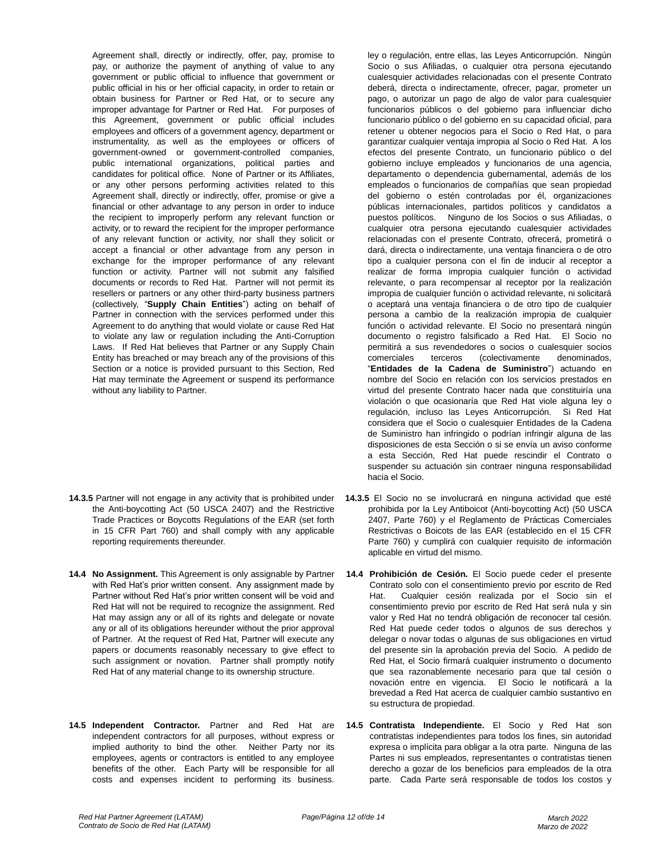Agreement shall, directly or indirectly, offer, pay, promise to pay, or authorize the payment of anything of value to any government or public official to influence that government or public official in his or her official capacity, in order to retain or obtain business for Partner or Red Hat, or to secure any improper advantage for Partner or Red Hat. For purposes of this Agreement, government or public official includes employees and officers of a government agency, department or instrumentality, as well as the employees or officers of government-owned or government-controlled companies, public international organizations, political parties and candidates for political office. None of Partner or its Affiliates, or any other persons performing activities related to this Agreement shall, directly or indirectly, offer, promise or give a financial or other advantage to any person in order to induce the recipient to improperly perform any relevant function or activity, or to reward the recipient for the improper performance of any relevant function or activity, nor shall they solicit or accept a financial or other advantage from any person in exchange for the improper performance of any relevant function or activity. Partner will not submit any falsified documents or records to Red Hat. Partner will not permit its resellers or partners or any other third-party business partners (collectively, "**Supply Chain Entities**") acting on behalf of Partner in connection with the services performed under this Agreement to do anything that would violate or cause Red Hat to violate any law or regulation including the Anti-Corruption Laws. If Red Hat believes that Partner or any Supply Chain Entity has breached or may breach any of the provisions of this Section or a notice is provided pursuant to this Section, Red Hat may terminate the Agreement or suspend its performance without any liability to Partner.

- **14.3.5** Partner will not engage in any activity that is prohibited under the Anti-boycotting Act (50 USCA 2407) and the Restrictive Trade Practices or Boycotts Regulations of the EAR (set forth in 15 CFR Part 760) and shall comply with any applicable reporting requirements thereunder.
- **14.4 No Assignment.** This Agreement is only assignable by Partner with Red Hat's prior written consent. Any assignment made by Partner without Red Hat's prior written consent will be void and Red Hat will not be required to recognize the assignment. Red Hat may assign any or all of its rights and delegate or novate any or all of its obligations hereunder without the prior approval of Partner. At the request of Red Hat, Partner will execute any papers or documents reasonably necessary to give effect to such assignment or novation. Partner shall promptly notify Red Hat of any material change to its ownership structure.
- **14.5 Independent Contractor.** Partner and Red Hat are independent contractors for all purposes, without express or implied authority to bind the other. Neither Party nor its employees, agents or contractors is entitled to any employee benefits of the other. Each Party will be responsible for all costs and expenses incident to performing its business.

ley o regulación, entre ellas, las Leyes Anticorrupción. Ningún Socio o sus Afiliadas, o cualquier otra persona ejecutando cualesquier actividades relacionadas con el presente Contrato deberá, directa o indirectamente, ofrecer, pagar, prometer un pago, o autorizar un pago de algo de valor para cualesquier funcionarios públicos o del gobierno para influenciar dicho funcionario público o del gobierno en su capacidad oficial, para retener u obtener negocios para el Socio o Red Hat, o para garantizar cualquier ventaja impropia al Socio o Red Hat. A los efectos del presente Contrato, un funcionario público o del gobierno incluye empleados y funcionarios de una agencia, departamento o dependencia gubernamental, además de los empleados o funcionarios de compañías que sean propiedad del gobierno o estén controladas por él, organizaciones públicas internacionales, partidos políticos y candidatos a puestos políticos. Ninguno de los Socios o sus Afiliadas, o cualquier otra persona ejecutando cualesquier actividades relacionadas con el presente Contrato, ofrecerá, prometirá o dará, directa o indirectamente, una ventaja financiera o de otro tipo a cualquier persona con el fin de inducir al receptor a realizar de forma impropia cualquier función o actividad relevante, o para recompensar al receptor por la realización impropia de cualquier función o actividad relevante, ni solicitará o aceptará una ventaja financiera o de otro tipo de cualquier persona a cambio de la realización impropia de cualquier función o actividad relevante. El Socio no presentará ningún documento o registro falsificado a Red Hat. El Socio no permitirá a sus revendedores o socios o cualesquier socios comerciales terceros (colectivamente denominados, "**Entidades de la Cadena de Suministro**") actuando en nombre del Socio en relación con los servicios prestados en virtud del presente Contrato hacer nada que constituiría una violación o que ocasionaría que Red Hat viole alguna ley o regulación, incluso las Leyes Anticorrupción. Si Red Hat considera que el Socio o cualesquier Entidades de la Cadena de Suministro han infringido o podrían infringir alguna de las disposiciones de esta Sección o si se envía un aviso conforme a esta Sección, Red Hat puede rescindir el Contrato o suspender su actuación sin contraer ninguna responsabilidad hacia el Socio.

- **14.3.5** El Socio no se involucrará en ninguna actividad que esté prohibida por la Ley Antiboicot (Anti-boycotting Act) (50 USCA 2407, Parte 760) y el Reglamento de Prácticas Comerciales Restrictivas o Boicots de las EAR (establecido en el 15 CFR Parte 760) y cumplirá con cualquier requisito de información aplicable en virtud del mismo.
- **14.4 Prohibición de Cesión.** El Socio puede ceder el presente Contrato solo con el consentimiento previo por escrito de Red Hat. Cualquier cesión realizada por el Socio sin el consentimiento previo por escrito de Red Hat será nula y sin valor y Red Hat no tendrá obligación de reconocer tal cesión. Red Hat puede ceder todos o algunos de sus derechos y delegar o novar todas o algunas de sus obligaciones en virtud del presente sin la aprobación previa del Socio. A pedido de Red Hat, el Socio firmará cualquier instrumento o documento que sea razonablemente necesario para que tal cesión o novación entre en vigencia. El Socio le notificará a la brevedad a Red Hat acerca de cualquier cambio sustantivo en su estructura de propiedad.
- **14.5 Contratista Independiente.** El Socio y Red Hat son contratistas independientes para todos los fines, sin autoridad expresa o implícita para obligar a la otra parte. Ninguna de las Partes ni sus empleados, representantes o contratistas tienen derecho a gozar de los beneficios para empleados de la otra parte. Cada Parte será responsable de todos los costos y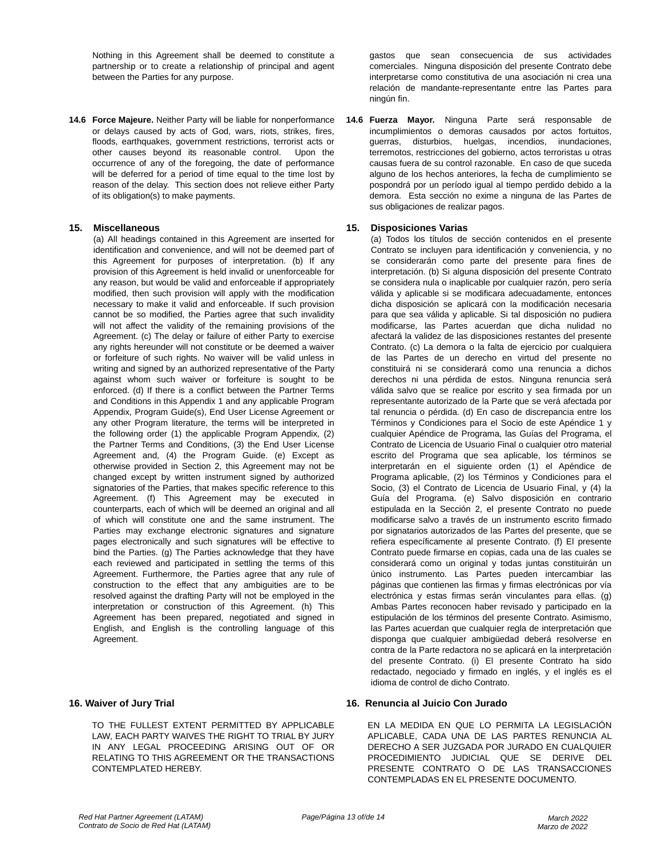Nothing in this Agreement shall be deemed to constitute a partnership or to create a relationship of principal and agent between the Parties for any purpose.

**14.6 Force Majeure.** Neither Party will be liable for nonperformance or delays caused by acts of God, wars, riots, strikes, fires, floods, earthquakes, government restrictions, terrorist acts or other causes beyond its reasonable control. Upon the occurrence of any of the foregoing, the date of performance will be deferred for a period of time equal to the time lost by reason of the delay. This section does not relieve either Party of its obligation(s) to make payments.

(a) All headings contained in this Agreement are inserted for identification and convenience, and will not be deemed part of this Agreement for purposes of interpretation. (b) If any provision of this Agreement is held invalid or unenforceable for any reason, but would be valid and enforceable if appropriately modified, then such provision will apply with the modification necessary to make it valid and enforceable. If such provision cannot be so modified, the Parties agree that such invalidity will not affect the validity of the remaining provisions of the Agreement. (c) The delay or failure of either Party to exercise any rights hereunder will not constitute or be deemed a waiver or forfeiture of such rights. No waiver will be valid unless in writing and signed by an authorized representative of the Party against whom such waiver or forfeiture is sought to be enforced. (d) If there is a conflict between the Partner Terms and Conditions in this Appendix 1 and any applicable Program Appendix, Program Guide(s), End User License Agreement or any other Program literature, the terms will be interpreted in the following order (1) the applicable Program Appendix, (2) the Partner Terms and Conditions, (3) the End User License Agreement and, (4) the Program Guide. (e) Except as otherwise provided in Section 2, this Agreement may not be changed except by written instrument signed by authorized signatories of the Parties, that makes specific reference to this Agreement. (f) This Agreement may be executed in counterparts, each of which will be deemed an original and all of which will constitute one and the same instrument. The Parties may exchange electronic signatures and signature pages electronically and such signatures will be effective to bind the Parties. (g) The Parties acknowledge that they have each reviewed and participated in settling the terms of this Agreement. Furthermore, the Parties agree that any rule of construction to the effect that any ambiguities are to be resolved against the drafting Party will not be employed in the interpretation or construction of this Agreement. (h) This Agreement has been prepared, negotiated and signed in English, and English is the controlling language of this Agreement.

### **16. Waiver of Jury Trial**

TO THE FULLEST EXTENT PERMITTED BY APPLICABLE LAW, EACH PARTY WAIVES THE RIGHT TO TRIAL BY JURY IN ANY LEGAL PROCEEDING ARISING OUT OF OR RELATING TO THIS AGREEMENT OR THE TRANSACTIONS CONTEMPLATED HEREBY.

gastos que sean consecuencia de sus actividades comerciales. Ninguna disposición del presente Contrato debe interpretarse como constitutiva de una asociación ni crea una relación de mandante-representante entre las Partes para ningún fin.

**14.6 Fuerza Mayor.** Ninguna Parte será responsable de incumplimientos o demoras causados por actos fortuitos, guerras, disturbios, huelgas, incendios, inundaciones, terremotos, restricciones del gobierno, actos terroristas u otras causas fuera de su control razonable. En caso de que suceda alguno de los hechos anteriores, la fecha de cumplimiento se pospondrá por un período igual al tiempo perdido debido a la demora. Esta sección no exime a ninguna de las Partes de sus obligaciones de realizar pagos.

# **15. Miscellaneous 15. Disposiciones Varias**

(a) Todos los títulos de sección contenidos en el presente Contrato se incluyen para identificación y conveniencia, y no se considerarán como parte del presente para fines de interpretación. (b) Si alguna disposición del presente Contrato se considera nula o inaplicable por cualquier razón, pero sería válida y aplicable si se modificara adecuadamente, entonces dicha disposición se aplicará con la modificación necesaria para que sea válida y aplicable. Si tal disposición no pudiera modificarse, las Partes acuerdan que dicha nulidad no afectará la validez de las disposiciones restantes del presente Contrato. (c) La demora o la falta de ejercicio por cualquiera de las Partes de un derecho en virtud del presente no constituirá ni se considerará como una renuncia a dichos derechos ni una pérdida de estos. Ninguna renuncia será válida salvo que se realice por escrito y sea firmada por un representante autorizado de la Parte que se verá afectada por tal renuncia o pérdida. (d) En caso de discrepancia entre los Términos y Condiciones para el Socio de este Apéndice 1 y cualquier Apéndice de Programa, las Guías del Programa, el Contrato de Licencia de Usuario Final o cualquier otro material escrito del Programa que sea aplicable, los términos se interpretarán en el siguiente orden (1) el Apéndice de Programa aplicable, (2) los Términos y Condiciones para el Socio, (3) el Contrato de Licencia de Usuario Final, y (4) la Guía del Programa. (e) Salvo disposición en contrario estipulada en la Sección 2, el presente Contrato no puede modificarse salvo a través de un instrumento escrito firmado por signatarios autorizados de las Partes del presente, que se refiera específicamente al presente Contrato. (f) El presente Contrato puede firmarse en copias, cada una de las cuales se considerará como un original y todas juntas constituirán un único instrumento. Las Partes pueden intercambiar las páginas que contienen las firmas y firmas electrónicas por vía electrónica y estas firmas serán vinculantes para ellas. (g) Ambas Partes reconocen haber revisado y participado en la estipulación de los términos del presente Contrato. Asimismo, las Partes acuerdan que cualquier regla de interpretación que disponga que cualquier ambigüedad deberá resolverse en contra de la Parte redactora no se aplicará en la interpretación del presente Contrato. (i) El presente Contrato ha sido redactado, negociado y firmado en inglés, y el inglés es el idioma de control de dicho Contrato.

### **16. Renuncia al Juicio Con Jurado**

EN LA MEDIDA EN QUE LO PERMITA LA LEGISLACIÓN APLICABLE, CADA UNA DE LAS PARTES RENUNCIA AL DERECHO A SER JUZGADA POR JURADO EN CUALQUIER PROCEDIMIENTO JUDICIAL QUE SE DERIVE DEL PRESENTE CONTRATO O DE LAS TRANSACCIONES CONTEMPLADAS EN EL PRESENTE DOCUMENTO.